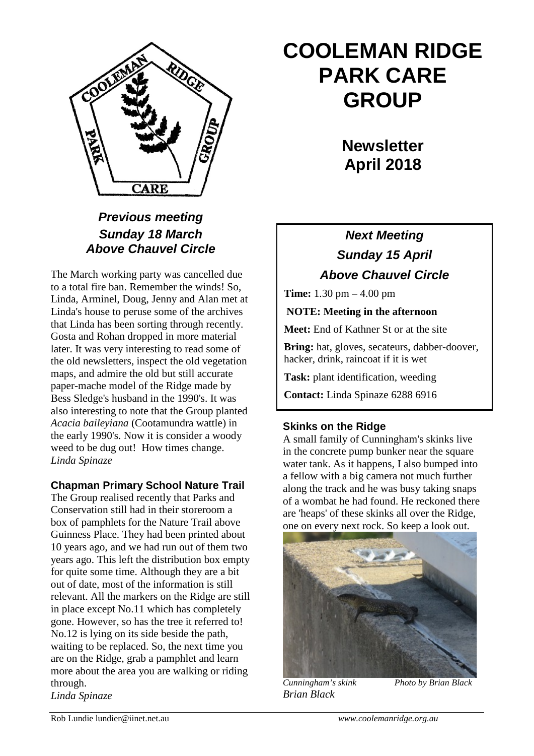

# **COOLEMAN RIDGE PARK CARE GROUP**

**Newsletter April 2018** 

### *Previous meeting Sunday 18 March Above Chauvel Circle*

The March working party was cancelled due to a total fire ban. Remember the winds! So, Linda, Arminel, Doug, Jenny and Alan met at Linda's house to peruse some of the archives that Linda has been sorting through recently. Gosta and Rohan dropped in more material later. It was very interesting to read some of the old newsletters, inspect the old vegetation maps, and admire the old but still accurate paper-mache model of the Ridge made by Bess Sledge's husband in the 1990's. It was also interesting to note that the Group planted *Acacia baileyiana* (Cootamundra wattle) in the early 1990's. Now it is consider a woody weed to be dug out! How times change. *Linda Spinaze*

### **Chapman Primary School Nature Trail**

The Group realised recently that Parks and Conservation still had in their storeroom a box of pamphlets for the Nature Trail above Guinness Place. They had been printed about 10 years ago, and we had run out of them two years ago. This left the distribution box empty for quite some time. Although they are a bit out of date, most of the information is still relevant. All the markers on the Ridge are still in place except No.11 which has completely gone. However, so has the tree it referred to! No.12 is lying on its side beside the path, waiting to be replaced. So, the next time you are on the Ridge, grab a pamphlet and learn more about the area you are walking or riding through.

*Linda Spinaze*

## *Next Meeting Sunday 15 April Above Chauvel Circle*

**Time:** 1.30 pm – 4.00 pm

**NOTE: Meeting in the afternoon**

**Meet:** End of Kathner St or at the site

**Bring:** hat, gloves, secateurs, dabber-doover, hacker, drink, raincoat if it is wet

**Task:** plant identification, weeding

**Contact:** Linda Spinaze 6288 6916

### **Skinks on the Ridge**

A small family of Cunningham's skinks live in the concrete pump bunker near the square water tank. As it happens, I also bumped into a fellow with a big camera not much further along the track and he was busy taking snaps of a wombat he had found. He reckoned there are 'heaps' of these skinks all over the Ridge, one on every next rock. So keep a look out.



*Brian Black*

*Cunningham's skink Photo by Brian Black*